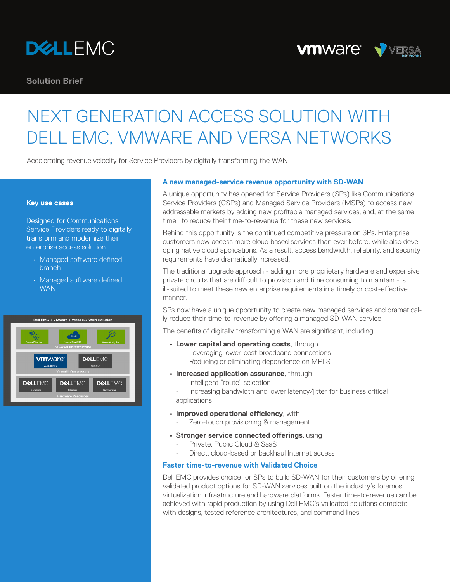

**Solution Brief**

# **VMWAre<sup>®</sup> VVERSA**

# NEXT GENERATION ACCESS SOLUTION WITH DELL EMC, VMWARE AND VERSA NETWORKS

Accelerating revenue velocity for Service Providers by digitally transforming the WAN

#### **Key use cases**

Designed for Communications Service Providers ready to digitally transform and modernize their enterprise access solution

- Managed software defined branch
- Managed software defined **WAN**



## **A new managed-service revenue opportunity with SD-WAN**

A unique opportunity has opened for Service Providers (SPs) like Communications Service Providers (CSPs) and Managed Service Providers (MSPs) to access new addressable markets by adding new profitable managed services, and, at the same time, to reduce their time-to-revenue for these new services.

Behind this opportunity is the continued competitive pressure on SPs. Enterprise customers now access more cloud based services than ever before, while also developing native cloud applications. As a result, access bandwidth, reliability, and security requirements have dramatically increased.

The traditional upgrade approach - adding more proprietary hardware and expensive private circuits that are difficult to provision and time consuming to maintain - is ill-suited to meet these new enterprise requirements in a timely or cost-effective manner.

SPs now have a unique opportunity to create new managed services and dramatically reduce their time-to-revenue by offering a managed SD-WAN service.

The benefits of digitally transforming a WAN are significant, including:

- **• Lower capital and operating costs**, through
	- Leveraging lower-cost broadband connections
	- Reducing or eliminating dependence on MPLS
- **• Increased application assurance**, through
	- Intelligent "route" selection
	- Increasing bandwidth and lower latency/jitter for business critical applications
- **• Improved operational efficiency**, with
	- Zero-touch provisioning & management
- **• Stronger service connected offerings**, using
	- Private, Public Cloud & SaaS
	- Direct, cloud-based or backhaul Internet access

### **Faster time-to-revenue with Validated Choice**

Dell EMC provides choice for SPs to build SD-WAN for their customers by offering validated product options for SD-WAN services built on the industry's foremost virtualization infrastructure and hardware platforms. Faster time-to-revenue can be achieved with rapid production by using Dell EMC's validated solutions complete with designs, tested reference architectures, and command lines.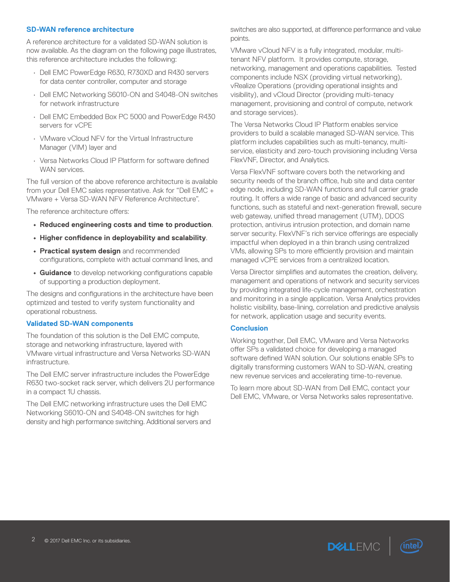### **SD-WAN reference architecture**

A reference architecture for a validated SD-WAN solution is now available. As the diagram on the following page illustrates, this reference architecture includes the following:

- Dell EMC PowerEdge R630, R730XD and R430 servers for data center controller, computer and storage
- Dell EMC Networking S6010-ON and S4048-ON switches for network infrastructure
- Dell EMC Embedded Box PC 5000 and PowerEdge R430 servers for vCPE
- VMware vCloud NFV for the Virtual Infrastructure Manager (VIM) layer and
- Versa Networks Cloud IP Platform for software defined WAN services.

The full version of the above reference architecture is available from your Dell EMC sales representative. Ask for "Dell EMC + VMware + Versa SD-WAN NFV Reference Architecture".

The reference architecture offers:

- **• Reduced engineering costs and time to production**.
- **• Higher confidence in deployability and scalability**.
- **• Practical system design** and recommended configurations, complete with actual command lines, and
- **• Guidance** to develop networking configurations capable of supporting a production deployment.

The designs and configurations in the architecture have been optimized and tested to verify system functionality and operational robustness.

#### **Validated SD-WAN components**

The foundation of this solution is the Dell EMC compute, storage and networking infrastructure, layered with VMware virtual infrastructure and Versa Networks SD-WAN infrastructure.

The Dell EMC server infrastructure includes the PowerEdge R630 two-socket rack server, which delivers 2U performance in a compact 1U chassis.

The Dell EMC networking infrastructure uses the Dell EMC Networking S6010-ON and S4048-ON switches for high density and high performance switching. Additional servers and switches are also supported, at difference performance and value points.

VMware vCloud NFV is a fully integrated, modular, multitenant NFV platform. It provides compute, storage, networking, management and operations capabilities. Tested components include NSX (providing virtual networking), vRealize Operations (providing operational insights and visibility), and vCloud Director (providing multi-tenacy management, provisioning and control of compute, network and storage services).

The Versa Networks Cloud IP Platform enables service providers to build a scalable managed SD-WAN service. This platform includes capabilities such as multi-tenancy, multiservice, elasticity and zero-touch provisioning including Versa FlexVNF, Director, and Analytics.

Versa FlexVNF software covers both the networking and security needs of the branch office, hub site and data center edge node, including SD-WAN functions and full carrier grade routing. It offers a wide range of basic and advanced security functions, such as stateful and next-generation firewall, secure web gateway, unified thread management (UTM), DDOS protection, antivirus intrusion protection, and domain name server security. FlexVNF's rich service offerings are especially impactful when deployed in a thin branch using centralized VMs, allowing SPs to more efficiently provision and maintain managed vCPE services from a centralized location.

Versa Director simplifies and automates the creation, delivery, management and operations of network and security services by providing integrated life-cycle management, orchestration and monitoring in a single application. Versa Analytics provides holistic visibility, base-lining, correlation and predictive analysis for network, application usage and security events.

#### **Conclusion**

Working together, Dell EMC, VMware and Versa Networks offer SPs a validated choice for developing a managed software defined WAN solution. Our solutions enable SPs to digitally transforming customers WAN to SD-WAN, creating new revenue services and accelerating time-to-revenue.

To learn more about SD-WAN from Dell EMC, contact your Dell EMC, VMware, or Versa Networks sales representative.